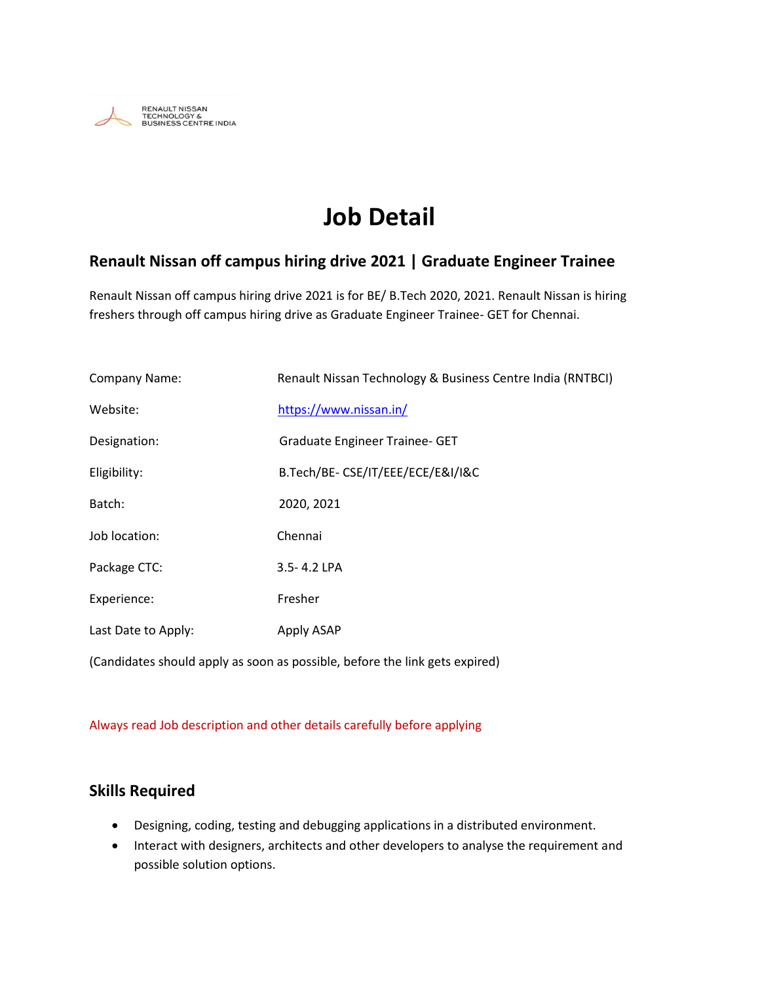

# **Job Detail**

#### **Renault Nissan off campus hiring drive 2021 | Graduate Engineer Trainee**

Renault Nissan off campus hiring drive 2021 is for BE/ B.Tech 2020, 2021. Renault Nissan is hiring freshers through off campus hiring drive as Graduate Engineer Trainee- GET for Chennai.

| Company Name:       | Renault Nissan Technology & Business Centre India (RNTBCI) |
|---------------------|------------------------------------------------------------|
| Website:            | https://www.nissan.in/                                     |
| Designation:        | <b>Graduate Engineer Trainee- GET</b>                      |
| Eligibility:        | B.Tech/BE-CSE/IT/EEE/ECE/E&I/I&C                           |
| Batch:              | 2020, 2021                                                 |
| Job location:       | Chennai                                                    |
| Package CTC:        | 3.5-4.2 LPA                                                |
| Experience:         | Fresher                                                    |
| Last Date to Apply: | Apply ASAP                                                 |
|                     |                                                            |

(Candidates should apply as soon as possible, before the link gets expired)

#### Always read Job description and other details carefully before applying

#### **Skills Required**

- Designing, coding, testing and debugging applications in a distributed environment.
- Interact with designers, architects and other developers to analyse the requirement and possible solution options.